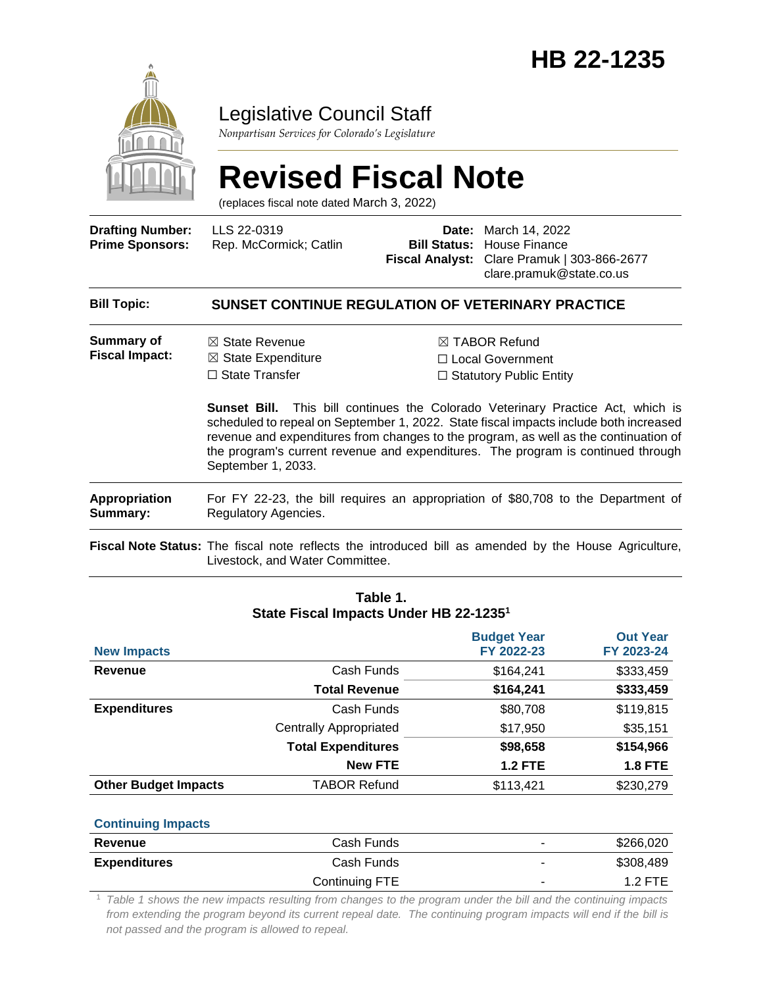

## Legislative Council Staff

*Nonpartisan Services for Colorado's Legislature*

# **Revised Fiscal Note**

(replaces fiscal note dated March 3, 2022)

| <b>Drafting Number:</b> |
|-------------------------|
| <b>Prime Sponsors:</b>  |

LLS 22-0319 Rep. McCormick; Catlin

**Date:** March 14, 2022 **Bill Status:** House Finance **Fiscal Analyst:** Clare Pramuk | 303-866-2677 clare.pramuk@state.co.us

#### **Bill Topic: SUNSET CONTINUE REGULATION OF VETERINARY PRACTICE Summary of Fiscal Impact:** ☒ State Revenue  $\boxtimes$  State Expenditure □ State Transfer ☒ TABOR Refund ☐ Local Government ☐ Statutory Public Entity **Sunset Bill.** This bill continues the Colorado Veterinary Practice Act, which is scheduled to repeal on September 1, 2022. State fiscal impacts include both increased revenue and expenditures from changes to the program, as well as the continuation of the program's current revenue and expenditures. The program is continued through September 1, 2033. **Appropriation Summary:** For FY 22-23, the bill requires an appropriation of \$80,708 to the Department of Regulatory Agencies. **Fiscal Note Status:** The fiscal note reflects the introduced bill as amended by the House Agriculture, Livestock, and Water Committee.

|                             |                               | <b>Budget Year</b> | <b>Out Year</b> |
|-----------------------------|-------------------------------|--------------------|-----------------|
| <b>New Impacts</b>          |                               | FY 2022-23         | FY 2023-24      |
| Revenue                     | Cash Funds                    | \$164,241          | \$333,459       |
|                             | <b>Total Revenue</b>          | \$164,241          | \$333,459       |
| <b>Expenditures</b>         | Cash Funds                    | \$80,708           | \$119,815       |
|                             | <b>Centrally Appropriated</b> | \$17,950           | \$35,151        |
|                             | <b>Total Expenditures</b>     | \$98,658           | \$154,966       |
|                             | <b>New FTE</b>                | <b>1.2 FTE</b>     | <b>1.8 FTE</b>  |
| <b>Other Budget Impacts</b> | <b>TABOR Refund</b>           | \$113,421          | \$230,279       |
|                             |                               |                    |                 |

**Table 1. State Fiscal Impacts Under HB 22-1235<sup>1</sup>**

#### **Continuing Impacts**

| Revenue             | Cash Funds     | -              | \$266,020 |
|---------------------|----------------|----------------|-----------|
| <b>Expenditures</b> | Cash Funds     | $\blacksquare$ | \$308,489 |
|                     | Continuing FTE | ۰              | $1.2$ FTE |

<sup>1</sup> *Table 1 shows the new impacts resulting from changes to the program under the bill and the continuing impacts*  from extending the program beyond its current repeal date. The continuing program impacts will end if the bill is *not passed and the program is allowed to repeal.*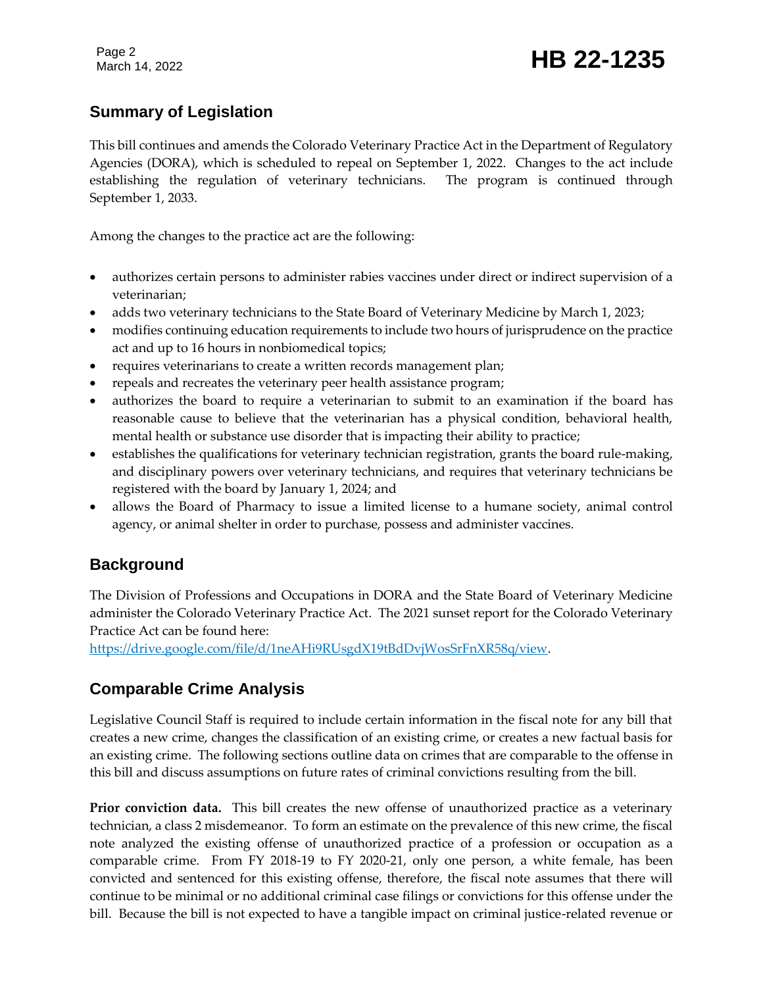Page 2

# Page 2<br>March 14, 2022 **HB 22-1235**

#### **Summary of Legislation**

This bill continues and amends the Colorado Veterinary Practice Act in the Department of Regulatory Agencies (DORA), which is scheduled to repeal on September 1, 2022. Changes to the act include establishing the regulation of veterinary technicians. The program is continued through September 1, 2033.

Among the changes to the practice act are the following:

- authorizes certain persons to administer rabies vaccines under direct or indirect supervision of a veterinarian;
- adds two veterinary technicians to the State Board of Veterinary Medicine by March 1, 2023;
- modifies continuing education requirements to include two hours of jurisprudence on the practice act and up to 16 hours in nonbiomedical topics;
- requires veterinarians to create a written records management plan;
- repeals and recreates the veterinary peer health assistance program;
- authorizes the board to require a veterinarian to submit to an examination if the board has reasonable cause to believe that the veterinarian has a physical condition, behavioral health, mental health or substance use disorder that is impacting their ability to practice;
- establishes the qualifications for veterinary technician registration, grants the board rule-making, and disciplinary powers over veterinary technicians, and requires that veterinary technicians be registered with the board by January 1, 2024; and
- allows the Board of Pharmacy to issue a limited license to a humane society, animal control agency, or animal shelter in order to purchase, possess and administer vaccines.

#### **Background**

The Division of Professions and Occupations in DORA and the State Board of Veterinary Medicine administer the Colorado Veterinary Practice Act. The 2021 sunset report for the Colorado Veterinary Practice Act can be found here:

[https://drive.google.com/file/d/1neAHi9RUsgdX19tBdDvjWosSrFnXR58q/view.](https://drive.google.com/file/d/1neAHi9RUsgdX19tBdDvjWosSrFnXR58q/view)

#### **Comparable Crime Analysis**

Legislative Council Staff is required to include certain information in the fiscal note for any bill that creates a new crime, changes the classification of an existing crime, or creates a new factual basis for an existing crime. The following sections outline data on crimes that are comparable to the offense in this bill and discuss assumptions on future rates of criminal convictions resulting from the bill.

**Prior conviction data.** This bill creates the new offense of unauthorized practice as a veterinary technician, a class 2 misdemeanor. To form an estimate on the prevalence of this new crime, the fiscal note analyzed the existing offense of unauthorized practice of a profession or occupation as a comparable crime. From FY 2018-19 to FY 2020-21, only one person, a white female, has been convicted and sentenced for this existing offense, therefore, the fiscal note assumes that there will continue to be minimal or no additional criminal case filings or convictions for this offense under the bill. Because the bill is not expected to have a tangible impact on criminal justice-related revenue or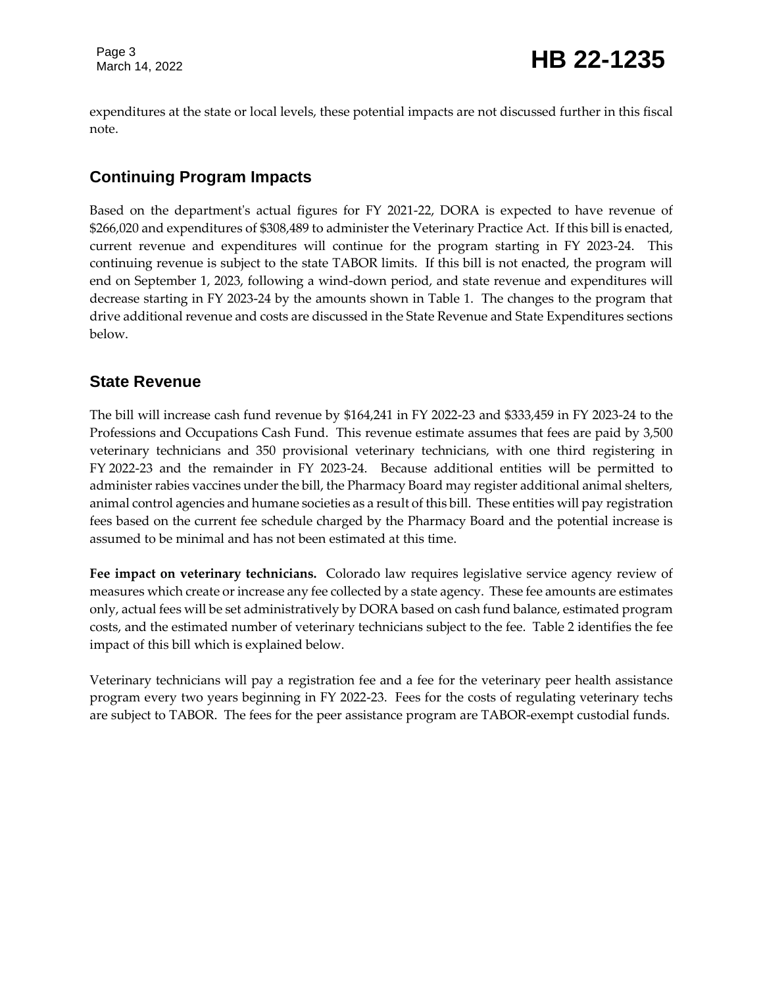expenditures at the state or local levels, these potential impacts are not discussed further in this fiscal note.

### **Continuing Program Impacts**

Based on the department's actual figures for FY 2021-22, DORA is expected to have revenue of \$266,020 and expenditures of \$308,489 to administer the Veterinary Practice Act. If this bill is enacted, current revenue and expenditures will continue for the program starting in FY 2023-24. This continuing revenue is subject to the state TABOR limits. If this bill is not enacted, the program will end on September 1, 2023, following a wind-down period, and state revenue and expenditures will decrease starting in FY 2023-24 by the amounts shown in Table 1. The changes to the program that drive additional revenue and costs are discussed in the State Revenue and State Expenditures sections below.

#### **State Revenue**

The bill will increase cash fund revenue by \$164,241 in FY 2022-23 and \$333,459 in FY 2023-24 to the Professions and Occupations Cash Fund. This revenue estimate assumes that fees are paid by 3,500 veterinary technicians and 350 provisional veterinary technicians, with one third registering in FY 2022-23 and the remainder in FY 2023-24. Because additional entities will be permitted to administer rabies vaccines under the bill, the Pharmacy Board may register additional animal shelters, animal control agencies and humane societies as a result of this bill. These entities will pay registration fees based on the current fee schedule charged by the Pharmacy Board and the potential increase is assumed to be minimal and has not been estimated at this time.

**Fee impact on veterinary technicians.** Colorado law requires legislative service agency review of measures which create or increase any fee collected by a state agency. These fee amounts are estimates only, actual fees will be set administratively by DORA based on cash fund balance, estimated program costs, and the estimated number of veterinary technicians subject to the fee. Table 2 identifies the fee impact of this bill which is explained below.

Veterinary technicians will pay a registration fee and a fee for the veterinary peer health assistance program every two years beginning in FY 2022-23. Fees for the costs of regulating veterinary techs are subject to TABOR. The fees for the peer assistance program are TABOR-exempt custodial funds.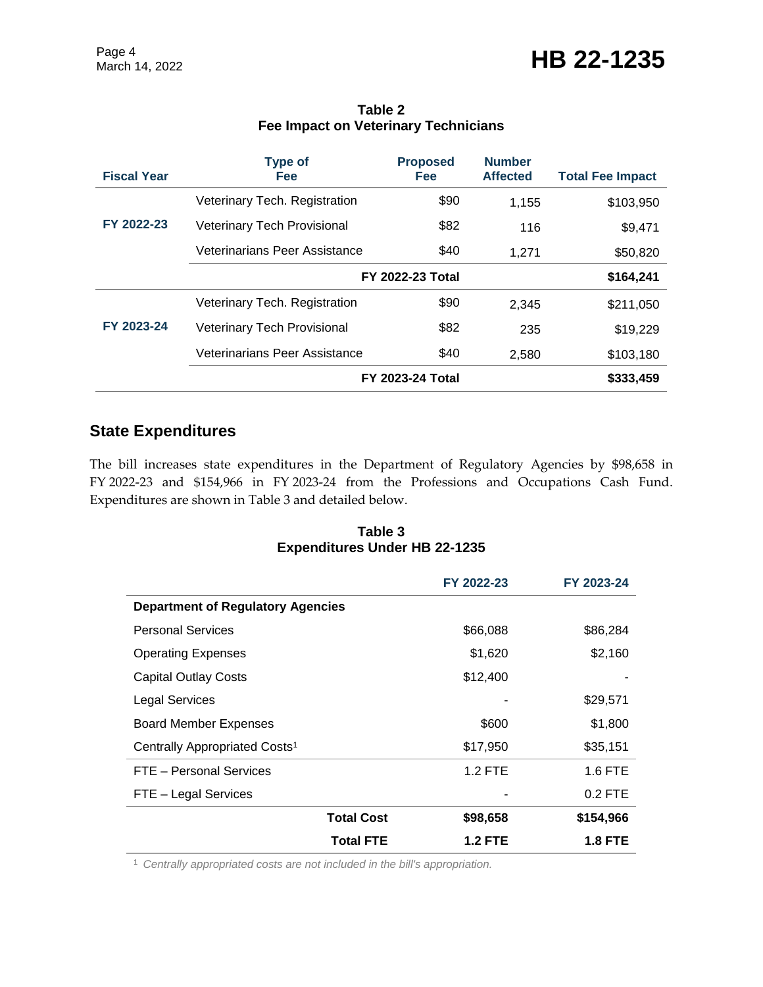| <b>Fiscal Year</b> | <b>Type of</b><br><b>Fee</b>       | <b>Proposed</b><br><b>Fee</b> | <b>Number</b><br><b>Affected</b> | <b>Total Fee Impact</b> |
|--------------------|------------------------------------|-------------------------------|----------------------------------|-------------------------|
|                    | Veterinary Tech. Registration      | \$90                          | 1,155                            | \$103,950               |
| FY 2022-23         | <b>Veterinary Tech Provisional</b> | \$82                          | 116                              | \$9,471                 |
|                    | Veterinarians Peer Assistance      | \$40                          | 1.271                            | \$50,820                |
|                    | <b>FY 2022-23 Total</b>            |                               |                                  | \$164,241               |
|                    | Veterinary Tech. Registration      | \$90                          | 2.345                            | \$211,050               |
| FY 2023-24         | <b>Veterinary Tech Provisional</b> | \$82                          | 235                              | \$19,229                |
|                    | Veterinarians Peer Assistance      | \$40                          | 2,580                            | \$103,180               |
|                    |                                    | <b>FY 2023-24 Total</b>       |                                  | \$333,459               |

#### **Table 2 Fee Impact on Veterinary Technicians**

### **State Expenditures**

The bill increases state expenditures in the Department of Regulatory Agencies by \$98,658 in FY 2022-23 and \$154,966 in FY 2023-24 from the Professions and Occupations Cash Fund. Expenditures are shown in Table 3 and detailed below.

#### **Table 3 Expenditures Under HB 22-1235**

|                                           | FY 2022-23     | FY 2023-24     |  |
|-------------------------------------------|----------------|----------------|--|
| Department of Regulatory Agencies         |                |                |  |
| <b>Personal Services</b>                  | \$66,088       | \$86,284       |  |
| <b>Operating Expenses</b>                 | \$1,620        | \$2,160        |  |
| <b>Capital Outlay Costs</b>               | \$12,400       |                |  |
| <b>Legal Services</b>                     |                | \$29,571       |  |
| <b>Board Member Expenses</b>              | \$600          | \$1,800        |  |
| Centrally Appropriated Costs <sup>1</sup> | \$17,950       | \$35,151       |  |
| FTE - Personal Services                   | $1.2$ FTE      | 1.6 FTE        |  |
| FTE - Legal Services                      |                | $0.2$ FTE      |  |
| <b>Total Cost</b>                         | \$98,658       | \$154,966      |  |
| <b>Total FTE</b>                          | <b>1.2 FTE</b> | <b>1.8 FTE</b> |  |

<sup>1</sup> *Centrally appropriated costs are not included in the bill's appropriation.*